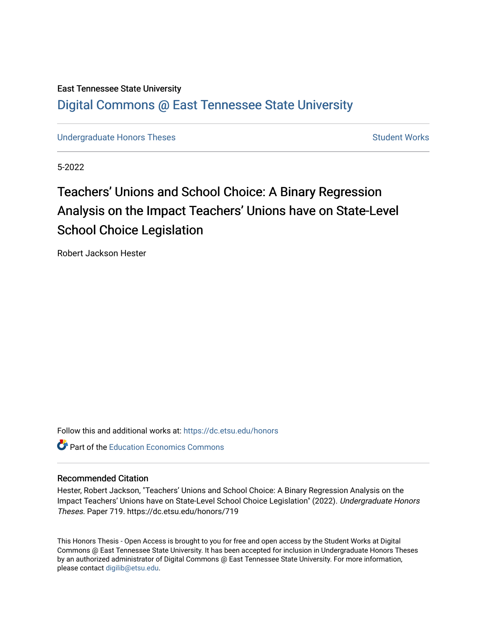## East Tennessee State University [Digital Commons @ East Tennessee State University](https://dc.etsu.edu/)

[Undergraduate Honors Theses](https://dc.etsu.edu/honors) [Student Works](https://dc.etsu.edu/student-works) Student Works

5-2022

# Teachers' Unions and School Choice: A Binary Regression Analysis on the Impact Teachers' Unions have on State-Level School Choice Legislation

Robert Jackson Hester

Follow this and additional works at: [https://dc.etsu.edu/honors](https://dc.etsu.edu/honors?utm_source=dc.etsu.edu%2Fhonors%2F719&utm_medium=PDF&utm_campaign=PDFCoverPages)

**C** Part of the Education Economics Commons

## Recommended Citation

Hester, Robert Jackson, "Teachers' Unions and School Choice: A Binary Regression Analysis on the Impact Teachers' Unions have on State-Level School Choice Legislation" (2022). Undergraduate Honors Theses. Paper 719. https://dc.etsu.edu/honors/719

This Honors Thesis - Open Access is brought to you for free and open access by the Student Works at Digital Commons @ East Tennessee State University. It has been accepted for inclusion in Undergraduate Honors Theses by an authorized administrator of Digital Commons @ East Tennessee State University. For more information, please contact [digilib@etsu.edu.](mailto:digilib@etsu.edu)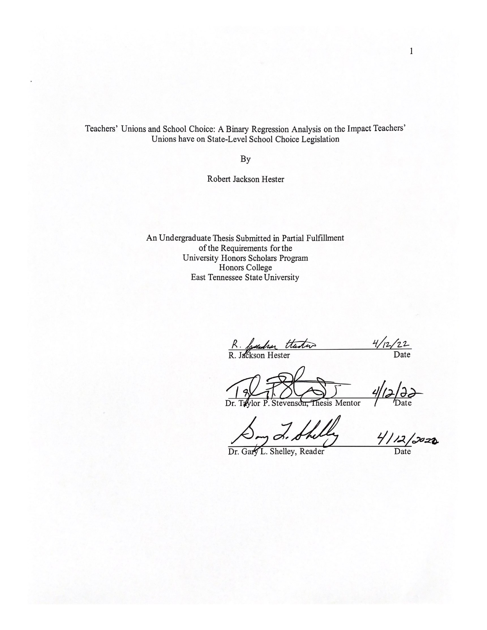Teachers' Unions and School Choice: A Binary Regression Analysis on the Impact Teachers' Unions have on State-Level School Choice Legislation

By

Robert Jackson Hester

An Undergraduate Thesis Submitted in Partial Fulfillment of the Requirements for the University Honors Scholars Program Honors College East Tennessee State University

 $\frac{4}{12}$  Date R. funden theodor

lor P. Stevenson, Thesis Mentor  $Dr. T_i$ 

Date

 $\frac{4}{2}$ 

Dr. Gary L. Shelley, Reader

Date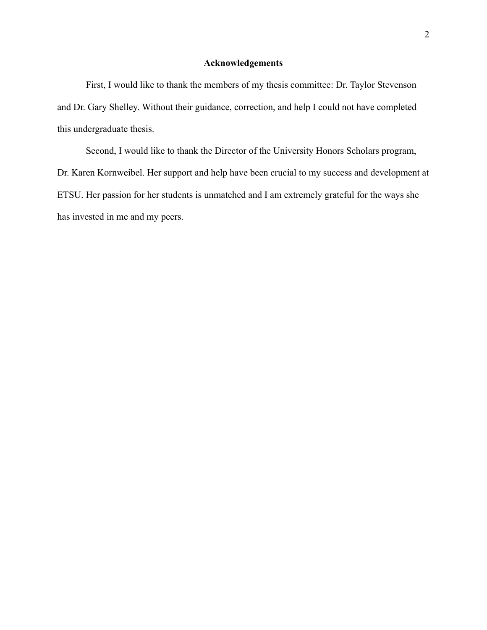## **Acknowledgements**

First, I would like to thank the members of my thesis committee: Dr. Taylor Stevenson and Dr. Gary Shelley. Without their guidance, correction, and help I could not have completed this undergraduate thesis.

Second, I would like to thank the Director of the University Honors Scholars program, Dr. Karen Kornweibel. Her support and help have been crucial to my success and development at ETSU. Her passion for her students is unmatched and I am extremely grateful for the ways she has invested in me and my peers.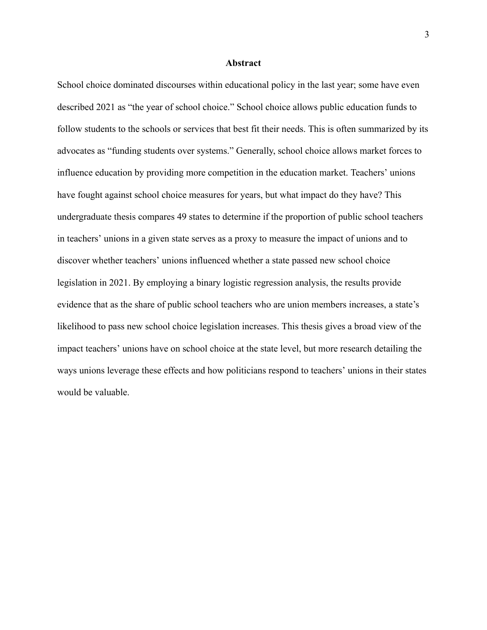### **Abstract**

School choice dominated discourses within educational policy in the last year; some have even described 2021 as "the year of school choice." School choice allows public education funds to follow students to the schools or services that best fit their needs. This is often summarized by its advocates as "funding students over systems." Generally, school choice allows market forces to influence education by providing more competition in the education market. Teachers' unions have fought against school choice measures for years, but what impact do they have? This undergraduate thesis compares 49 states to determine if the proportion of public school teachers in teachers' unions in a given state serves as a proxy to measure the impact of unions and to discover whether teachers' unions influenced whether a state passed new school choice legislation in 2021. By employing a binary logistic regression analysis, the results provide evidence that as the share of public school teachers who are union members increases, a state's likelihood to pass new school choice legislation increases. This thesis gives a broad view of the impact teachers' unions have on school choice at the state level, but more research detailing the ways unions leverage these effects and how politicians respond to teachers' unions in their states would be valuable.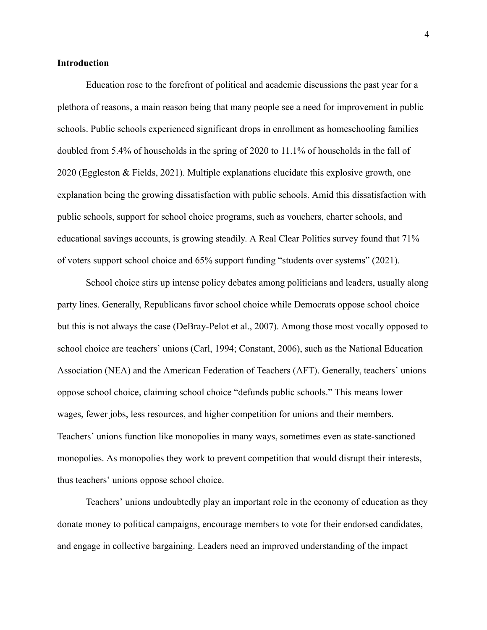## **Introduction**

Education rose to the forefront of political and academic discussions the past year for a plethora of reasons, a main reason being that many people see a need for improvement in public schools. Public schools experienced significant drops in enrollment as homeschooling families doubled from 5.4% of households in the spring of 2020 to 11.1% of households in the fall of 2020 (Eggleston & Fields, 2021). Multiple explanations elucidate this explosive growth, one explanation being the growing dissatisfaction with public schools. Amid this dissatisfaction with public schools, support for school choice programs, such as vouchers, charter schools, and educational savings accounts, is growing steadily. A Real Clear Politics survey found that 71% of voters support school choice and 65% support funding "students over systems" (2021).

School choice stirs up intense policy debates among politicians and leaders, usually along party lines. Generally, Republicans favor school choice while Democrats oppose school choice but this is not always the case (DeBray-Pelot et al., 2007). Among those most vocally opposed to school choice are teachers' unions (Carl, 1994; Constant, 2006), such as the National Education Association (NEA) and the American Federation of Teachers (AFT). Generally, teachers' unions oppose school choice, claiming school choice "defunds public schools." This means lower wages, fewer jobs, less resources, and higher competition for unions and their members. Teachers' unions function like monopolies in many ways, sometimes even as state-sanctioned monopolies. As monopolies they work to prevent competition that would disrupt their interests, thus teachers' unions oppose school choice.

Teachers' unions undoubtedly play an important role in the economy of education as they donate money to political campaigns, encourage members to vote for their endorsed candidates, and engage in collective bargaining. Leaders need an improved understanding of the impact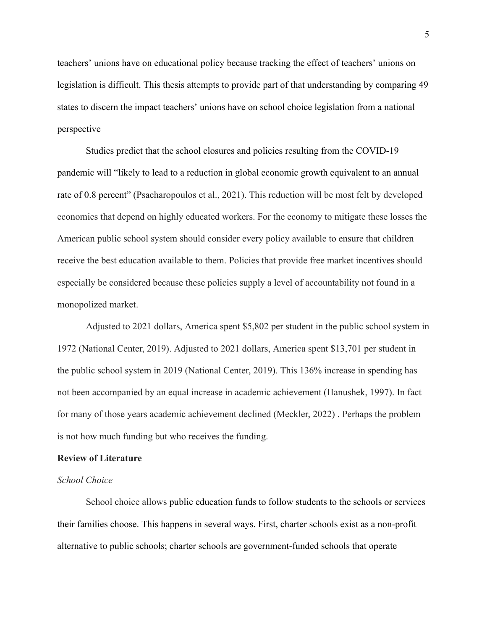teachers' unions have on educational policy because tracking the effect of teachers' unions on legislation is difficult. This thesis attempts to provide part of that understanding by comparing 49 states to discern the impact teachers' unions have on school choice legislation from a national perspective

Studies predict that the school closures and policies resulting from the COVID-19 pandemic will "likely to lead to a reduction in global economic growth equivalent to an annual rate of 0.8 percent" (Psacharopoulos et al., 2021). This reduction will be most felt by developed economies that depend on highly educated workers. For the economy to mitigate these losses the American public school system should consider every policy available to ensure that children receive the best education available to them. Policies that provide free market incentives should especially be considered because these policies supply a level of accountability not found in a monopolized market.

Adjusted to 2021 dollars, America spent \$5,802 per student in the public school system in 1972 (National Center, 2019). Adjusted to 2021 dollars, America spent \$13,701 per student in the public school system in 2019 (National Center, 2019). This 136% increase in spending has not been accompanied by an equal increase in academic achievement (Hanushek, 1997). In fact for many of those years academic achievement declined (Meckler, 2022) . Perhaps the problem is not how much funding but who receives the funding.

### **Review of Literature**

#### *School Choice*

School choice allows public education funds to follow students to the schools or services their families choose. This happens in several ways. First, charter schools exist as a non-profit alternative to public schools; charter schools are government-funded schools that operate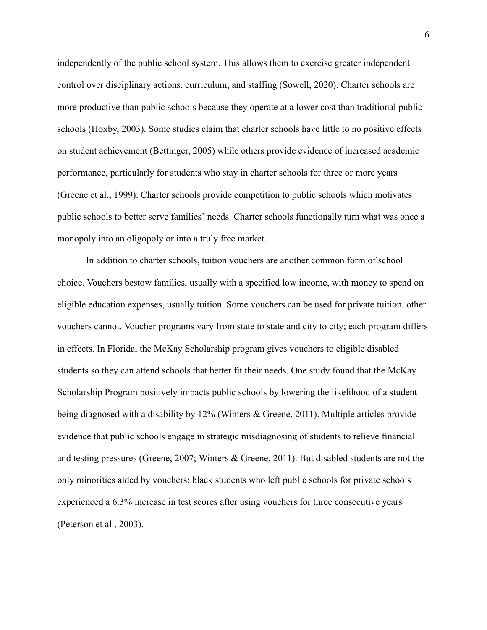independently of the public school system. This allows them to exercise greater independent control over disciplinary actions, curriculum, and staffing (Sowell, 2020). Charter schools are more productive than public schools because they operate at a lower cost than traditional public schools (Hoxby, 2003). Some studies claim that charter schools have little to no positive effects on student achievement (Bettinger, 2005) while others provide evidence of increased academic performance, particularly for students who stay in charter schools for three or more years (Greene et al., 1999). Charter schools provide competition to public schools which motivates public schools to better serve families' needs. Charter schools functionally turn what was once a monopoly into an oligopoly or into a truly free market.

In addition to charter schools, tuition vouchers are another common form of school choice. Vouchers bestow families, usually with a specified low income, with money to spend on eligible education expenses, usually tuition. Some vouchers can be used for private tuition, other vouchers cannot. Voucher programs vary from state to state and city to city; each program differs in effects. In Florida, the McKay Scholarship program gives vouchers to eligible disabled students so they can attend schools that better fit their needs. One study found that the McKay Scholarship Program positively impacts public schools by lowering the likelihood of a student being diagnosed with a disability by 12% (Winters & Greene, 2011). Multiple articles provide evidence that public schools engage in strategic misdiagnosing of students to relieve financial and testing pressures (Greene, 2007; Winters & Greene, 2011). But disabled students are not the only minorities aided by vouchers; black students who left public schools for private schools experienced a 6.3% increase in test scores after using vouchers for three consecutive years (Peterson et al., 2003).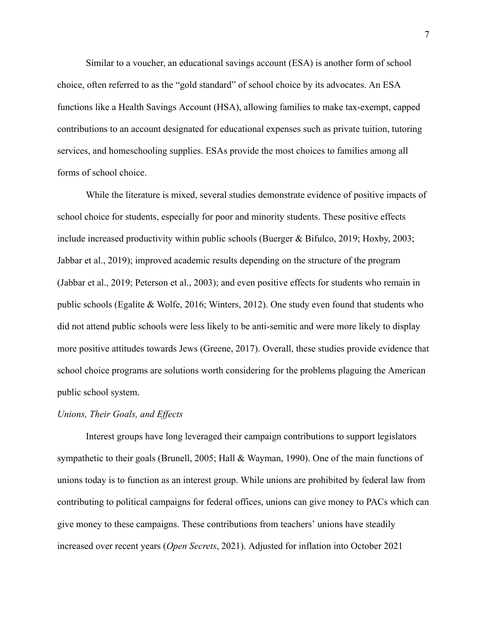Similar to a voucher, an educational savings account (ESA) is another form of school choice, often referred to as the "gold standard" of school choice by its advocates. An ESA functions like a Health Savings Account (HSA), allowing families to make tax-exempt, capped contributions to an account designated for educational expenses such as private tuition, tutoring services, and homeschooling supplies. ESAs provide the most choices to families among all forms of school choice.

While the literature is mixed, several studies demonstrate evidence of positive impacts of school choice for students, especially for poor and minority students. These positive effects include increased productivity within public schools (Buerger & Bifulco, 2019; Hoxby, 2003; Jabbar et al., 2019); improved academic results depending on the structure of the program (Jabbar et al., 2019; Peterson et al., 2003); and even positive effects for students who remain in public schools (Egalite & Wolfe, 2016; Winters, 2012). One study even found that students who did not attend public schools were less likely to be anti-semitic and were more likely to display more positive attitudes towards Jews (Greene, 2017). Overall, these studies provide evidence that school choice programs are solutions worth considering for the problems plaguing the American public school system.

## *Unions, Their Goals, and Effects*

Interest groups have long leveraged their campaign contributions to support legislators sympathetic to their goals (Brunell, 2005; Hall & Wayman, 1990). One of the main functions of unions today is to function as an interest group. While unions are prohibited by federal law from contributing to political campaigns for federal offices, unions can give money to PACs which can give money to these campaigns. These contributions from teachers' unions have steadily increased over recent years (*Open Secrets*, 2021). Adjusted for inflation into October 2021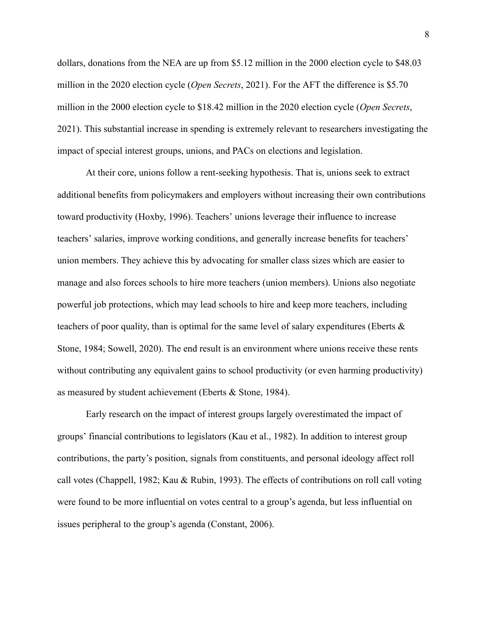dollars, donations from the NEA are up from \$5.12 million in the 2000 election cycle to \$48.03 million in the 2020 election cycle (*Open Secrets*, 2021). For the AFT the difference is \$5.70 million in the 2000 election cycle to \$18.42 million in the 2020 election cycle (*Open Secrets*, 2021). This substantial increase in spending is extremely relevant to researchers investigating the impact of special interest groups, unions, and PACs on elections and legislation.

At their core, unions follow a rent-seeking hypothesis. That is, unions seek to extract additional benefits from policymakers and employers without increasing their own contributions toward productivity (Hoxby, 1996). Teachers' unions leverage their influence to increase teachers' salaries, improve working conditions, and generally increase benefits for teachers' union members. They achieve this by advocating for smaller class sizes which are easier to manage and also forces schools to hire more teachers (union members). Unions also negotiate powerful job protections, which may lead schools to hire and keep more teachers, including teachers of poor quality, than is optimal for the same level of salary expenditures (Eberts  $\&$ Stone, 1984; Sowell, 2020). The end result is an environment where unions receive these rents without contributing any equivalent gains to school productivity (or even harming productivity) as measured by student achievement (Eberts & Stone, 1984).

Early research on the impact of interest groups largely overestimated the impact of groups' financial contributions to legislators (Kau et al., 1982). In addition to interest group contributions, the party's position, signals from constituents, and personal ideology affect roll call votes (Chappell, 1982; Kau & Rubin, 1993). The effects of contributions on roll call voting were found to be more influential on votes central to a group's agenda, but less influential on issues peripheral to the group's agenda (Constant, 2006).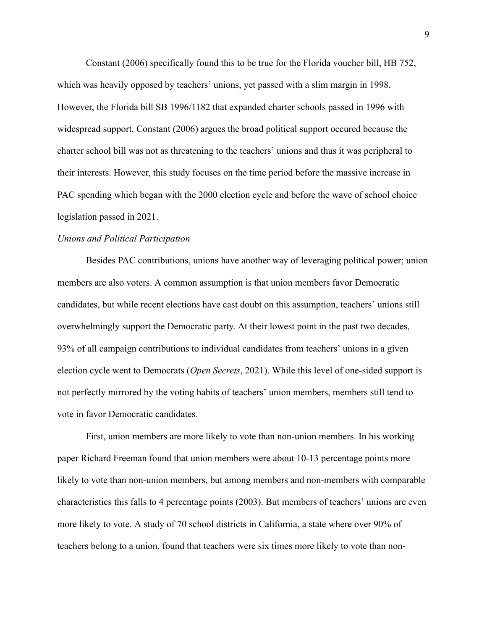Constant (2006) specifically found this to be true for the Florida voucher bill, HB 752, which was heavily opposed by teachers' unions, yet passed with a slim margin in 1998. However, the Florida bill SB 1996/1182 that expanded charter schools passed in 1996 with widespread support. Constant (2006) argues the broad political support occured because the charter school bill was not as threatening to the teachers' unions and thus it was peripheral to their interests. However, this study focuses on the time period before the massive increase in PAC spending which began with the 2000 election cycle and before the wave of school choice legislation passed in 2021.

## *Unions and Political Participation*

Besides PAC contributions, unions have another way of leveraging political power; union members are also voters. A common assumption is that union members favor Democratic candidates, but while recent elections have cast doubt on this assumption, teachers' unions still overwhelmingly support the Democratic party. At their lowest point in the past two decades, 93% of all campaign contributions to individual candidates from teachers' unions in a given election cycle went to Democrats (*Open Secrets*, 2021). While this level of one-sided support is not perfectly mirrored by the voting habits of teachers' union members, members still tend to vote in favor Democratic candidates.

First, union members are more likely to vote than non-union members. In his working paper Richard Freeman found that union members were about 10-13 percentage points more likely to vote than non-union members, but among members and non-members with comparable characteristics this falls to 4 percentage points (2003). But members of teachers' unions are even more likely to vote. A study of 70 school districts in California, a state where over 90% of teachers belong to a union, found that teachers were six times more likely to vote than non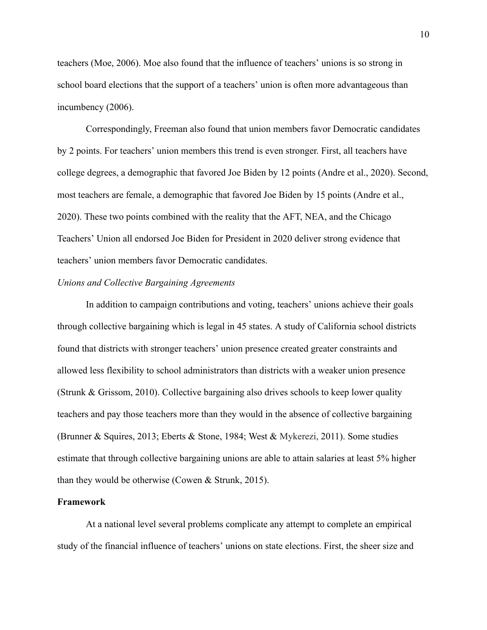teachers (Moe, 2006). Moe also found that the influence of teachers' unions is so strong in school board elections that the support of a teachers' union is often more advantageous than incumbency (2006).

Correspondingly, Freeman also found that union members favor Democratic candidates by 2 points. For teachers' union members this trend is even stronger. First, all teachers have college degrees, a demographic that favored Joe Biden by 12 points (Andre et al., 2020). Second, most teachers are female, a demographic that favored Joe Biden by 15 points (Andre et al., 2020). These two points combined with the reality that the AFT, NEA, and the Chicago Teachers' Union all endorsed Joe Biden for President in 2020 deliver strong evidence that teachers' union members favor Democratic candidates.

## *Unions and Collective Bargaining Agreements*

In addition to campaign contributions and voting, teachers' unions achieve their goals through collective bargaining which is legal in 45 states. A study of California school districts found that districts with stronger teachers' union presence created greater constraints and allowed less flexibility to school administrators than districts with a weaker union presence (Strunk & Grissom, 2010). Collective bargaining also drives schools to keep lower quality teachers and pay those teachers more than they would in the absence of collective bargaining (Brunner & Squires, 2013; Eberts & Stone, 1984; West & Mykerezi, 2011). Some studies estimate that through collective bargaining unions are able to attain salaries at least 5% higher than they would be otherwise (Cowen & Strunk, 2015).

#### **Framework**

At a national level several problems complicate any attempt to complete an empirical study of the financial influence of teachers' unions on state elections. First, the sheer size and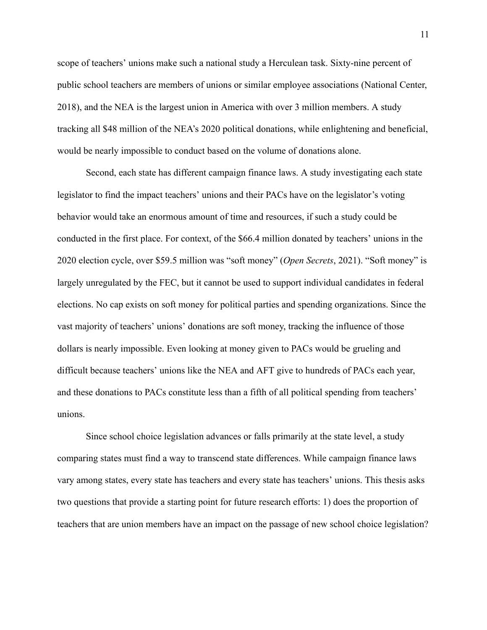scope of teachers' unions make such a national study a Herculean task. Sixty-nine percent of public school teachers are members of unions or similar employee associations (National Center, 2018), and the NEA is the largest union in America with over 3 million members. A study tracking all \$48 million of the NEA's 2020 political donations, while enlightening and beneficial, would be nearly impossible to conduct based on the volume of donations alone.

Second, each state has different campaign finance laws. A study investigating each state legislator to find the impact teachers' unions and their PACs have on the legislator's voting behavior would take an enormous amount of time and resources, if such a study could be conducted in the first place. For context, of the \$66.4 million donated by teachers' unions in the 2020 election cycle, over \$59.5 million was "soft money" (*Open Secrets*, 2021). "Soft money" is largely unregulated by the FEC, but it cannot be used to support individual candidates in federal elections. No cap exists on soft money for political parties and spending organizations. Since the vast majority of teachers' unions' donations are soft money, tracking the influence of those dollars is nearly impossible. Even looking at money given to PACs would be grueling and difficult because teachers' unions like the NEA and AFT give to hundreds of PACs each year, and these donations to PACs constitute less than a fifth of all political spending from teachers' unions.

Since school choice legislation advances or falls primarily at the state level, a study comparing states must find a way to transcend state differences. While campaign finance laws vary among states, every state has teachers and every state has teachers' unions. This thesis asks two questions that provide a starting point for future research efforts: 1) does the proportion of teachers that are union members have an impact on the passage of new school choice legislation?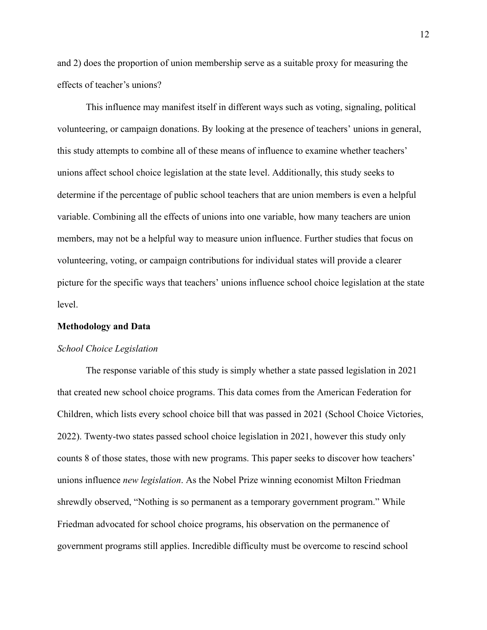and 2) does the proportion of union membership serve as a suitable proxy for measuring the effects of teacher's unions?

This influence may manifest itself in different ways such as voting, signaling, political volunteering, or campaign donations. By looking at the presence of teachers' unions in general, this study attempts to combine all of these means of influence to examine whether teachers' unions affect school choice legislation at the state level. Additionally, this study seeks to determine if the percentage of public school teachers that are union members is even a helpful variable. Combining all the effects of unions into one variable, how many teachers are union members, may not be a helpful way to measure union influence. Further studies that focus on volunteering, voting, or campaign contributions for individual states will provide a clearer picture for the specific ways that teachers' unions influence school choice legislation at the state level.

## **Methodology and Data**

#### *School Choice Legislation*

The response variable of this study is simply whether a state passed legislation in 2021 that created new school choice programs. This data comes from the American Federation for Children, which lists every school choice bill that was passed in 2021 (School Choice Victories, 2022). Twenty-two states passed school choice legislation in 2021, however this study only counts 8 of those states, those with new programs. This paper seeks to discover how teachers' unions influence *new legislation*. As the Nobel Prize winning economist Milton Friedman shrewdly observed, "Nothing is so permanent as a temporary government program." While Friedman advocated for school choice programs, his observation on the permanence of government programs still applies. Incredible difficulty must be overcome to rescind school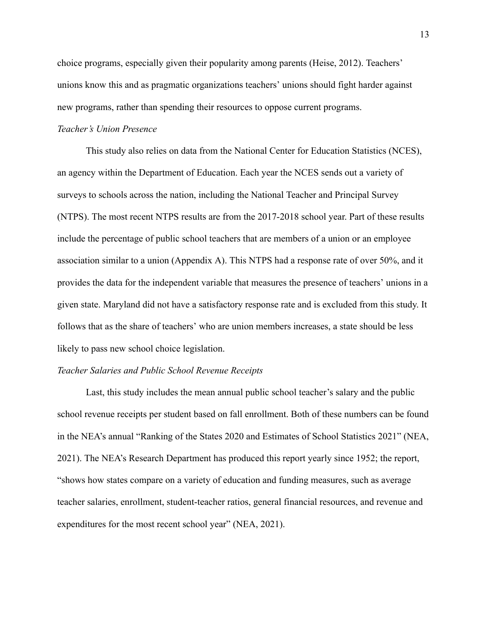choice programs, especially given their popularity among parents (Heise, 2012). Teachers' unions know this and as pragmatic organizations teachers' unions should fight harder against new programs, rather than spending their resources to oppose current programs.

## *Teacher's Union Presence*

This study also relies on data from the National Center for Education Statistics (NCES), an agency within the Department of Education. Each year the NCES sends out a variety of surveys to schools across the nation, including the National Teacher and Principal Survey (NTPS). The most recent NTPS results are from the 2017-2018 school year. Part of these results include the percentage of public school teachers that are members of a union or an employee association similar to a union (Appendix A). This NTPS had a response rate of over 50%, and it provides the data for the independent variable that measures the presence of teachers' unions in a given state. Maryland did not have a satisfactory response rate and is excluded from this study. It follows that as the share of teachers' who are union members increases, a state should be less likely to pass new school choice legislation.

### *Teacher Salaries and Public School Revenue Receipts*

Last, this study includes the mean annual public school teacher's salary and the public school revenue receipts per student based on fall enrollment. Both of these numbers can be found in the NEA's annual "Ranking of the States 2020 and Estimates of School Statistics 2021" (NEA, 2021). The NEA's Research Department has produced this report yearly since 1952; the report, "shows how states compare on a variety of education and funding measures, such as average teacher salaries, enrollment, student-teacher ratios, general financial resources, and revenue and expenditures for the most recent school year" (NEA, 2021).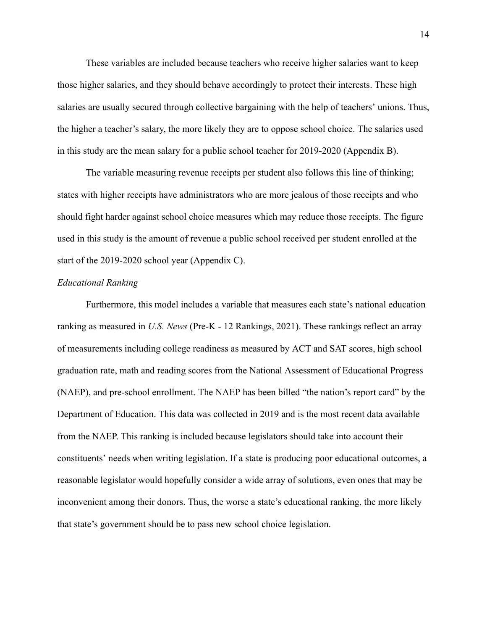These variables are included because teachers who receive higher salaries want to keep those higher salaries, and they should behave accordingly to protect their interests. These high salaries are usually secured through collective bargaining with the help of teachers' unions. Thus, the higher a teacher's salary, the more likely they are to oppose school choice. The salaries used in this study are the mean salary for a public school teacher for 2019-2020 (Appendix B).

The variable measuring revenue receipts per student also follows this line of thinking; states with higher receipts have administrators who are more jealous of those receipts and who should fight harder against school choice measures which may reduce those receipts. The figure used in this study is the amount of revenue a public school received per student enrolled at the start of the 2019-2020 school year (Appendix C).

#### *Educational Ranking*

Furthermore, this model includes a variable that measures each state's national education ranking as measured in *U.S. News* (Pre-K - 12 Rankings, 2021). These rankings reflect an array of measurements including college readiness as measured by ACT and SAT scores, high school graduation rate, math and reading scores from the National Assessment of Educational Progress (NAEP), and pre-school enrollment. The NAEP has been billed "the nation's report card" by the Department of Education. This data was collected in 2019 and is the most recent data available from the NAEP. This ranking is included because legislators should take into account their constituents' needs when writing legislation. If a state is producing poor educational outcomes, a reasonable legislator would hopefully consider a wide array of solutions, even ones that may be inconvenient among their donors. Thus, the worse a state's educational ranking, the more likely that state's government should be to pass new school choice legislation.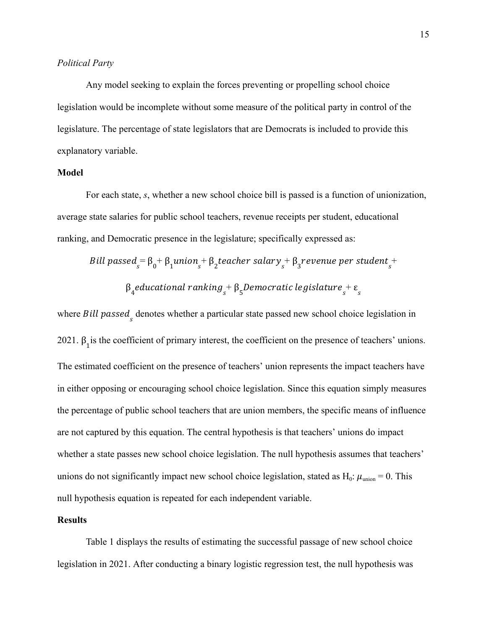### *Political Party*

Any model seeking to explain the forces preventing or propelling school choice legislation would be incomplete without some measure of the political party in control of the legislature. The percentage of state legislators that are Democrats is included to provide this explanatory variable.

## **Model**

For each state, *s*, whether a new school choice bill is passed is a function of unionization, average state salaries for public school teachers, revenue receipts per student, educational ranking, and Democratic presence in the legislature; specifically expressed as:

$$
Bill\ passed_s = \beta_0 + \beta_1 union_s + \beta_2 teacher\ salary_s + \beta_3 revenue\ per\ student_s + \beta_4 educational\ ranking_s + \beta_5pemocratic\ legislature_s + \varepsilon_s
$$

where *Bill passed*<sub>s</sub> denotes whether a particular state passed new school choice legislation in 2021.  $\beta_1$  is the coefficient of primary interest, the coefficient on the presence of teachers' unions. The estimated coefficient on the presence of teachers' union represents the impact teachers have in either opposing or encouraging school choice legislation. Since this equation simply measures the percentage of public school teachers that are union members, the specific means of influence are not captured by this equation. The central hypothesis is that teachers' unions do impact whether a state passes new school choice legislation. The null hypothesis assumes that teachers' unions do not significantly impact new school choice legislation, stated as  $H_0$ :  $\mu_{\text{union}} = 0$ . This null hypothesis equation is repeated for each independent variable.

## **Results**

Table 1 displays the results of estimating the successful passage of new school choice legislation in 2021. After conducting a binary logistic regression test, the null hypothesis was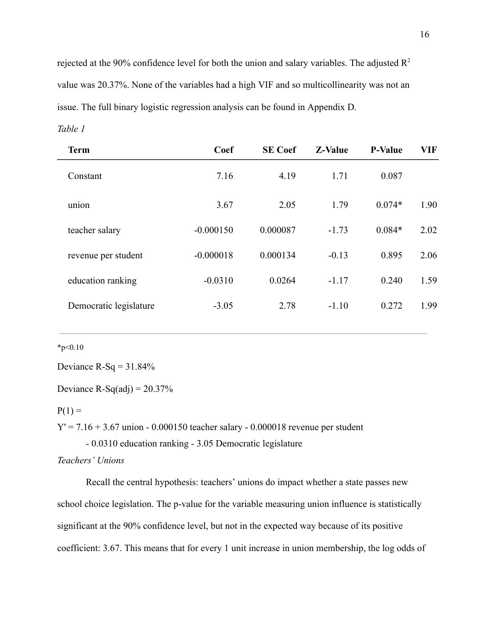rejected at the 90% confidence level for both the union and salary variables. The adjusted  $\mathbb{R}^2$ value was 20.37%. None of the variables had a high VIF and so multicollinearity was not an issue. The full binary logistic regression analysis can be found in Appendix D. *Table 1*

| <b>Term</b>            | Coef        | <b>SE</b> Coef | <b>Z-Value</b> | <b>P-Value</b> | <b>VIF</b> |
|------------------------|-------------|----------------|----------------|----------------|------------|
| Constant               | 7.16        | 4.19           | 1.71           | 0.087          |            |
| union                  | 3.67        | 2.05           | 1.79           | $0.074*$       | 1.90       |
| teacher salary         | $-0.000150$ | 0.000087       | $-1.73$        | $0.084*$       | 2.02       |
| revenue per student    | $-0.000018$ | 0.000134       | $-0.13$        | 0.895          | 2.06       |
| education ranking      | $-0.0310$   | 0.0264         | $-1.17$        | 0.240          | 1.59       |
| Democratic legislature | $-3.05$     | 2.78           | $-1.10$        | 0.272          | 1.99       |
|                        |             |                |                |                |            |

### $*_{p<0.10}$

Deviance  $R-Sq = 31.84%$ 

Deviance R-Sq(adj) =  $20.37\%$ 

## $P(1) =$

 $Y' = 7.16 + 3.67$  union - 0.000150 teacher salary - 0.000018 revenue per student

- 0.0310 education ranking - 3.05 Democratic legislature

## *Teachers' Unions*

Recall the central hypothesis: teachers' unions do impact whether a state passes new school choice legislation. The p-value for the variable measuring union influence is statistically significant at the 90% confidence level, but not in the expected way because of its positive coefficient: 3.67. This means that for every 1 unit increase in union membership, the log odds of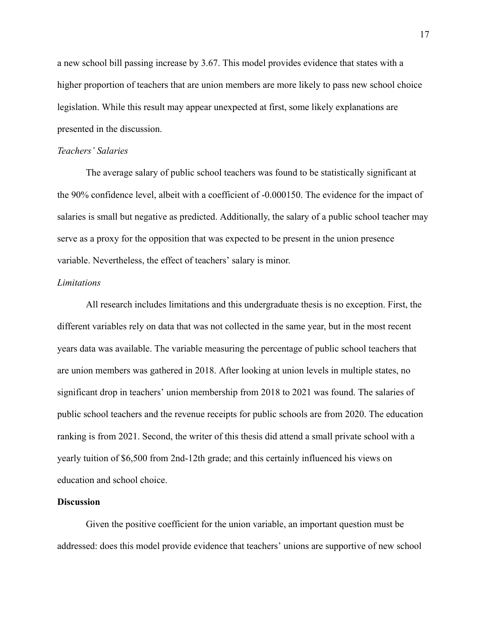a new school bill passing increase by 3.67. This model provides evidence that states with a higher proportion of teachers that are union members are more likely to pass new school choice legislation. While this result may appear unexpected at first, some likely explanations are presented in the discussion.

## *Teachers' Salaries*

The average salary of public school teachers was found to be statistically significant at the 90% confidence level, albeit with a coefficient of -0.000150. The evidence for the impact of salaries is small but negative as predicted. Additionally, the salary of a public school teacher may serve as a proxy for the opposition that was expected to be present in the union presence variable. Nevertheless, the effect of teachers' salary is minor.

#### *Limitations*

All research includes limitations and this undergraduate thesis is no exception. First, the different variables rely on data that was not collected in the same year, but in the most recent years data was available. The variable measuring the percentage of public school teachers that are union members was gathered in 2018. After looking at union levels in multiple states, no significant drop in teachers' union membership from 2018 to 2021 was found. The salaries of public school teachers and the revenue receipts for public schools are from 2020. The education ranking is from 2021. Second, the writer of this thesis did attend a small private school with a yearly tuition of \$6,500 from 2nd-12th grade; and this certainly influenced his views on education and school choice.

### **Discussion**

Given the positive coefficient for the union variable, an important question must be addressed: does this model provide evidence that teachers' unions are supportive of new school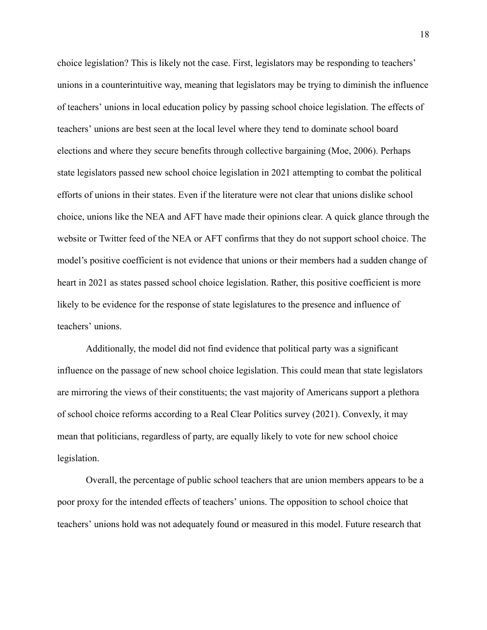choice legislation? This is likely not the case. First, legislators may be responding to teachers' unions in a counterintuitive way, meaning that legislators may be trying to diminish the influence of teachers' unions in local education policy by passing school choice legislation. The effects of teachers' unions are best seen at the local level where they tend to dominate school board elections and where they secure benefits through collective bargaining (Moe, 2006). Perhaps state legislators passed new school choice legislation in 2021 attempting to combat the political efforts of unions in their states. Even if the literature were not clear that unions dislike school choice, unions like the NEA and AFT have made their opinions clear. A quick glance through the website or Twitter feed of the NEA or AFT confirms that they do not support school choice. The model's positive coefficient is not evidence that unions or their members had a sudden change of heart in 2021 as states passed school choice legislation. Rather, this positive coefficient is more likely to be evidence for the response of state legislatures to the presence and influence of teachers' unions.

Additionally, the model did not find evidence that political party was a significant influence on the passage of new school choice legislation. This could mean that state legislators are mirroring the views of their constituents; the vast majority of Americans support a plethora of school choice reforms according to a Real Clear Politics survey (2021). Convexly, it may mean that politicians, regardless of party, are equally likely to vote for new school choice legislation.

Overall, the percentage of public school teachers that are union members appears to be a poor proxy for the intended effects of teachers' unions. The opposition to school choice that teachers' unions hold was not adequately found or measured in this model. Future research that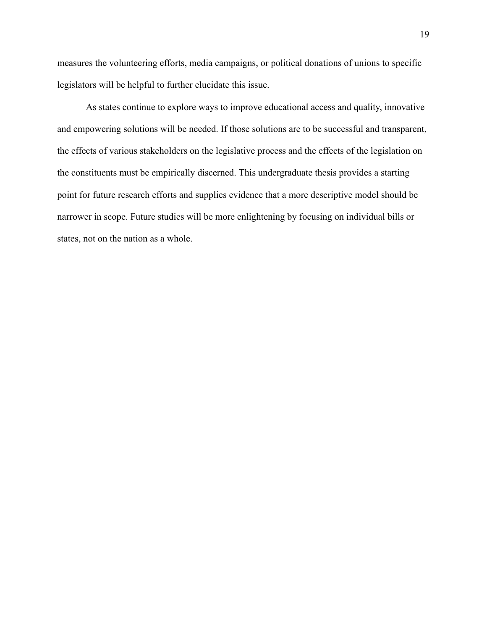measures the volunteering efforts, media campaigns, or political donations of unions to specific legislators will be helpful to further elucidate this issue.

As states continue to explore ways to improve educational access and quality, innovative and empowering solutions will be needed. If those solutions are to be successful and transparent, the effects of various stakeholders on the legislative process and the effects of the legislation on the constituents must be empirically discerned. This undergraduate thesis provides a starting point for future research efforts and supplies evidence that a more descriptive model should be narrower in scope. Future studies will be more enlightening by focusing on individual bills or states, not on the nation as a whole.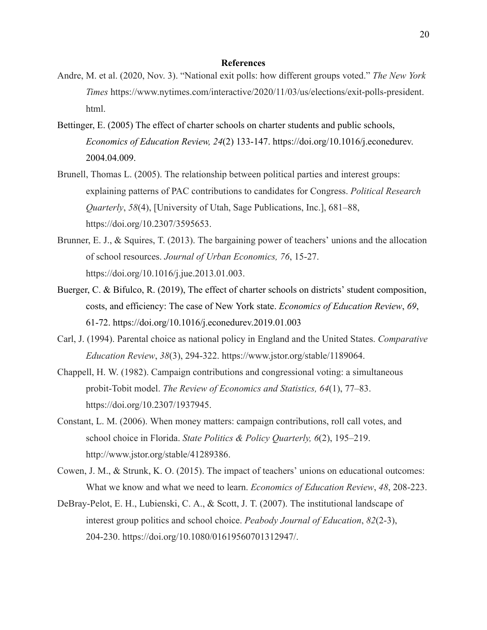## **References**

- Andre, M. et al. (2020, Nov. 3). "National exit polls: how different groups voted." *The New York Times* https://www.nytimes.com/interactive/2020/11/03/us/elections/exit-polls-president. html.
- Bettinger, E. (2005) The effect of charter schools on charter students and public schools, *Economics of Education Review, 24*(2) 133-147. https://doi.org/10.1016/j.econedurev. 2004.04.009.
- Brunell, Thomas L. (2005). The relationship between political parties and interest groups: explaining patterns of PAC contributions to candidates for Congress. *Political Research Quarterly*, *58*(4), [University of Utah, Sage Publications, Inc.], 681–88, https://doi.org/10.2307/3595653.
- Brunner, E. J., & Squires, T. (2013). The bargaining power of teachers' unions and the allocation of school resources. *Journal of Urban Economics, 76*, 15-27. https://doi.org/10.1016/j.jue.2013.01.003.
- Buerger, C. & Bifulco, R. (2019), The effect of charter schools on districts' student composition, costs, and efficiency: The case of New York state. *Economics of Education Review*, *69*, 61-72. https://doi.org/10.1016/j.econedurev.2019.01.003
- Carl, J. (1994). Parental choice as national policy in England and the United States. *Comparative Education Review*, *38*(3), 294-322. https://www.jstor.org/stable/1189064.
- Chappell, H. W. (1982). Campaign contributions and congressional voting: a simultaneous probit-Tobit model. *The Review of Economics and Statistics, 64*(1), 77–83. https://doi.org/10.2307/1937945.
- Constant, L. M. (2006). When money matters: campaign contributions, roll call votes, and school choice in Florida. *State Politics & Policy Quarterly, 6*(2), 195–219. http://www.jstor.org/stable/41289386.
- Cowen, J. M., & Strunk, K. O. (2015). The impact of teachers' unions on educational outcomes: What we know and what we need to learn. *Economics of Education Review*, *48*, 208-223.
- DeBray-Pelot, E. H., Lubienski, C. A., & Scott, J. T. (2007). The institutional landscape of interest group politics and school choice. *Peabody Journal of Education*, *82*(2-3), 204-230. https://doi.org/10.1080/01619560701312947/.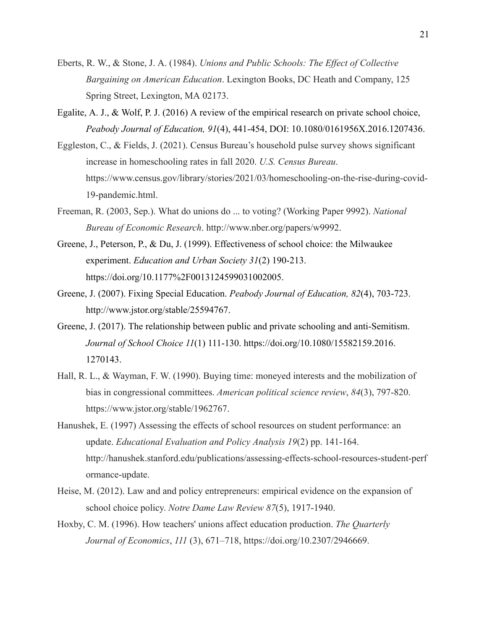- Eberts, R. W., & Stone, J. A. (1984). *Unions and Public Schools: The Effect of Collective Bargaining on American Education*. Lexington Books, DC Heath and Company, 125 Spring Street, Lexington, MA 02173.
- Egalite, A. J., & Wolf, P. J. (2016) A review of the empirical research on private school choice, *Peabody Journal of Education, 91*(4), 441-454, DOI: 10.1080/0161956X.2016.1207436.
- Eggleston, C., & Fields, J. (2021). Census Bureau's household pulse survey shows significant increase in homeschooling rates in fall 2020. *U.S. Census Bureau*. https://www.census.gov/library/stories/2021/03/homeschooling-on-the-rise-during-covid-19-pandemic.html.
- Freeman, R. (2003, Sep.). What do unions do ... to voting? (Working Paper 9992). *National Bureau of Economic Research*. http://www.nber.org/papers/w9992.
- Greene, J., Peterson, P., & Du, J. (1999). Effectiveness of school choice: the Milwaukee experiment. *Education and Urban Society 31*(2) 190-213. https://doi.org/10.1177%2F0013124599031002005.
- Greene, J. (2007). Fixing Special Education. *Peabody Journal of Education, 82*(4), 703-723. http://www.jstor.org/stable/25594767.
- Greene, J. (2017). The relationship between public and private schooling and anti-Semitism. *Journal of School Choice 11*(1) 111-130. https://doi.org/10.1080/15582159.2016. 1270143.
- Hall, R. L., & Wayman, F. W. (1990). Buying time: moneyed interests and the mobilization of bias in congressional committees. *American political science review*, *84*(3), 797-820. https://www.jstor.org/stable/1962767.
- Hanushek, E. (1997) Assessing the effects of school resources on student performance: an update. *Educational Evaluation and Policy Analysis 19*(2) pp. 141-164. http://hanushek.stanford.edu/publications/assessing-effects-school-resources-student-perf ormance-update.
- Heise, M. (2012). Law and and policy entrepreneurs: empirical evidence on the expansion of school choice policy. *Notre Dame Law Review 87*(5), 1917-1940.
- Hoxby, C. M. (1996). How teachers' unions affect education production. *The Quarterly Journal of Economics*, *111* (3), 671–718, https://doi.org/10.2307/2946669.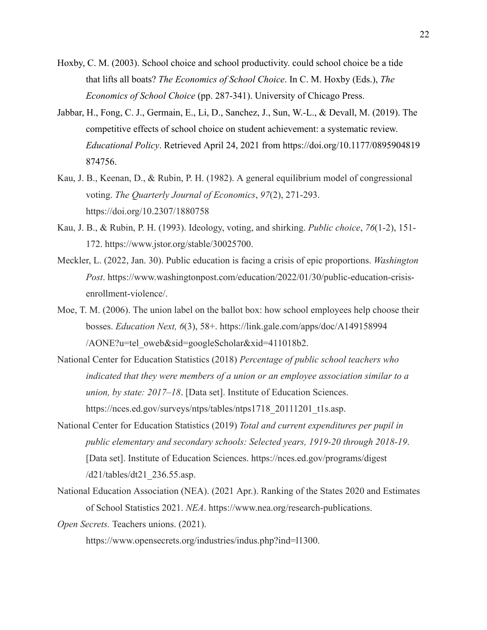- Hoxby, C. M. (2003). School choice and school productivity. could school choice be a tide that lifts all boats? *The Economics of School Choice*. In C. M. Hoxby (Eds.), *The Economics of School Choice* (pp. 287-341). University of Chicago Press.
- Jabbar, H., Fong, C. J., Germain, E., Li, D., Sanchez, J., Sun, W.-L., & Devall, M. (2019). The competitive effects of school choice on student achievement: a systematic review. *Educational Policy*. Retrieved April 24, 2021 from https://doi.org/10.1177/0895904819 874756.
- Kau, J. B., Keenan, D., & Rubin, P. H. (1982). A general equilibrium model of congressional voting. *The Quarterly Journal of Economics*, *97*(2), 271-293. https://doi.org/10.2307/1880758
- Kau, J. B., & Rubin, P. H. (1993). Ideology, voting, and shirking. *Public choice*, *76*(1-2), 151- 172. https://www.jstor.org/stable/30025700.
- Meckler, L. (2022, Jan. 30). Public education is facing a crisis of epic proportions. *Washington Post*. https://www.washingtonpost.com/education/2022/01/30/public-education-crisisenrollment-violence/.
- Moe, T. M. (2006). The union label on the ballot box: how school employees help choose their bosses. *Education Next, 6*(3), 58+. https://link.gale.com/apps/doc/A149158994 /AONE?u=tel\_oweb&sid=googleScholar&xid=411018b2.
- National Center for Education Statistics (2018) *Percentage of public school teachers who indicated that they were members of a union or an employee association similar to a union, by state: 2017–18*. [Data set]. Institute of Education Sciences. https://nces.ed.gov/surveys/ntps/tables/ntps1718\_20111201\_t1s.asp.
- National Center for Education Statistics (2019) *Total and current expenditures per pupil in public elementary and secondary schools: Selected years, 1919-20 through 2018-19*. [Data set]. Institute of Education Sciences. https://nces.ed.gov/programs/digest /d21/tables/dt21\_236.55.asp.
- National Education Association (NEA). (2021 Apr.). Ranking of the States 2020 and Estimates of School Statistics 2021. *NEA*. https://www.nea.org/research-publications.
- *Open Secrets.* Teachers unions. (2021). https://www.opensecrets.org/industries/indus.php?ind=l1300.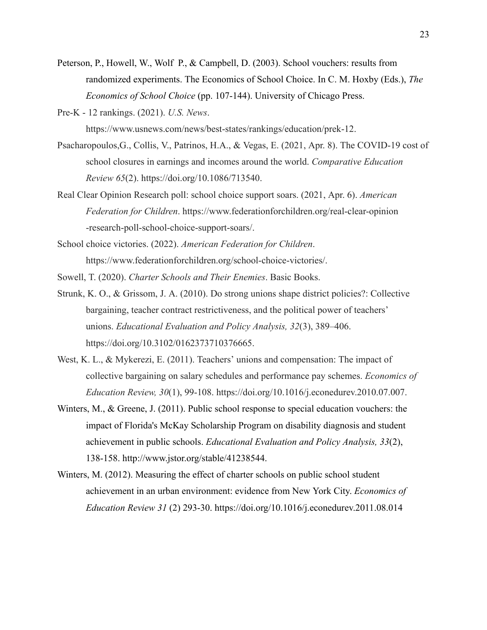Peterson, P., Howell, W., Wolf P., & Campbell, D. (2003). School vouchers: results from randomized experiments. The Economics of School Choice. In C. M. Hoxby (Eds.), *The Economics of School Choice* (pp. 107-144). University of Chicago Press.

Pre-K - 12 rankings. (2021). *U.S. News*.

https://www.usnews.com/news/best-states/rankings/education/prek-12.

- Psacharopoulos,G., Collis, V., Patrinos, H.A., & Vegas, E. (2021, Apr. 8). The COVID-19 cost of school closures in earnings and incomes around the world. *Comparative Education Review 65*(2). https://doi.org/10.1086/713540.
- Real Clear Opinion Research poll: school choice support soars. (2021, Apr. 6). *American Federation for Children*. https://www.federationforchildren.org/real-clear-opinion -research-poll-school-choice-support-soars/.
- School choice victories. (2022). *American Federation for Children*. https://www.federationforchildren.org/school-choice-victories/.
- Sowell, T. (2020). *Charter Schools and Their Enemies*. Basic Books.
- Strunk, K. O., & Grissom, J. A. (2010). Do strong unions shape district policies?: Collective bargaining, teacher contract restrictiveness, and the political power of teachers' unions. *Educational Evaluation and Policy Analysis, 32*(3), 389–406. https://doi.org/10.3102/0162373710376665.
- West, K. L., & Mykerezi, E. (2011). Teachers' unions and compensation: The impact of collective bargaining on salary schedules and performance pay schemes. *Economics of Education Review, 30*(1), 99-108. https://doi.org/10.1016/j.econedurev.2010.07.007.
- Winters, M., & Greene, J. (2011). Public school response to special education vouchers: the impact of Florida's McKay Scholarship Program on disability diagnosis and student achievement in public schools. *Educational Evaluation and Policy Analysis, 33*(2), 138-158. http://www.jstor.org/stable/41238544.
- Winters, M. (2012). Measuring the effect of charter schools on public school student achievement in an urban environment: evidence from New York City. *Economics of Education Review 31* (2) 293-30. https://doi.org/10.1016/j.econedurev.2011.08.014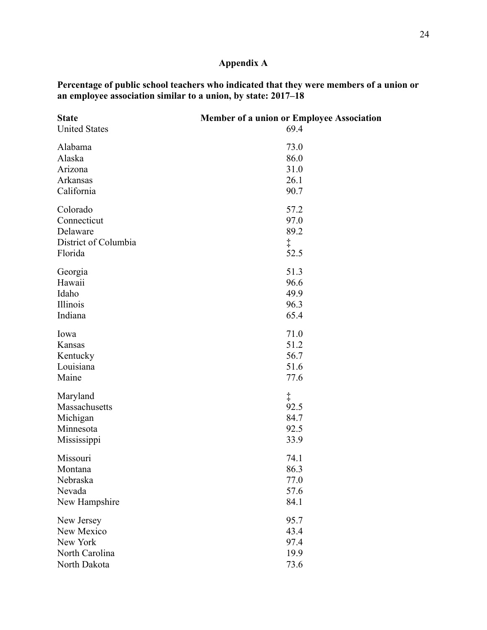## **Appendix A**

**Percentage of public school teachers who indicated that they were members of a union or an employee association similar to a union, by state: 2017–18**

| <b>State</b>         | <b>Member of a union or Employee Association</b> |
|----------------------|--------------------------------------------------|
| <b>United States</b> | 69.4                                             |
| Alabama              | 73.0                                             |
| Alaska               | 86.0                                             |
| Arizona              | 31.0                                             |
| Arkansas             | 26.1                                             |
| California           | 90.7                                             |
| Colorado             | 57.2                                             |
| Connecticut          | 97.0                                             |
| Delaware             | 89.2                                             |
| District of Columbia | $\ddagger$                                       |
| Florida              | 52.5                                             |
| Georgia              | 51.3                                             |
| Hawaii               | 96.6                                             |
| Idaho                | 49.9                                             |
| Illinois             | 96.3                                             |
| Indiana              | 65.4                                             |
| Iowa                 | 71.0                                             |
| Kansas               | 51.2                                             |
| Kentucky             | 56.7                                             |
| Louisiana            | 51.6                                             |
| Maine                | 77.6                                             |
| Maryland             | $\ddagger$                                       |
| Massachusetts        | 92.5                                             |
| Michigan             | 84.7                                             |
| Minnesota            | 92.5                                             |
| Mississippi          | 33.9                                             |
| Missouri             | 74.1                                             |
| Montana              | 86.3                                             |
| Nebraska             | 77.0                                             |
| Nevada               | 57.6                                             |
| New Hampshire        | 84.1                                             |
| New Jersey           | 95.7                                             |
| New Mexico           | 43.4                                             |
| New York             | 97.4                                             |
| North Carolina       | 19.9                                             |
| North Dakota         | 73.6                                             |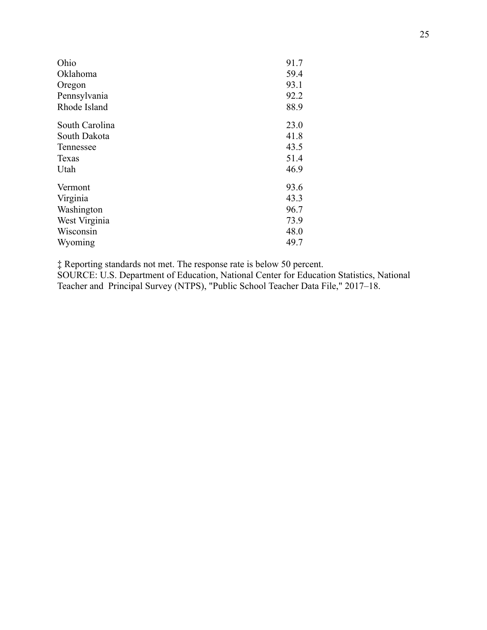| Ohio           | 91.7 |
|----------------|------|
| Oklahoma       | 59.4 |
| Oregon         | 93.1 |
| Pennsylvania   | 92.2 |
| Rhode Island   | 88.9 |
| South Carolina | 23.0 |
| South Dakota   | 41.8 |
| Tennessee      | 43.5 |
| Texas          | 51.4 |
| Utah           | 46.9 |
| Vermont        | 93.6 |
| Virginia       | 43.3 |
| Washington     | 96.7 |
| West Virginia  | 73.9 |
| Wisconsin      | 48.0 |
| Wyoming        | 49.7 |

‡ Reporting standards not met. The response rate is below 50 percent.

SOURCE: U.S. Department of Education, National Center for Education Statistics, National Teacher and Principal Survey (NTPS), "Public School Teacher Data File," 2017–18.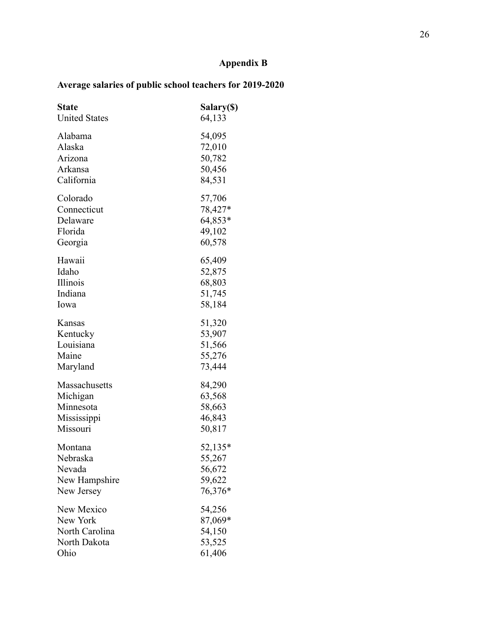## **Appendix B**

## **Average salaries of public school teachers for 2019-2020**

| <b>State</b>         | Salary(\$) |
|----------------------|------------|
| <b>United States</b> | 64,133     |
| Alabama              | 54,095     |
| Alaska               | 72,010     |
| Arizona              | 50,782     |
| Arkansa              | 50,456     |
| California           | 84,531     |
| Colorado             | 57,706     |
| Connecticut          | 78,427*    |
| Delaware             | $64,853*$  |
| Florida              | 49,102     |
| Georgia              | 60,578     |
| Hawaii               | 65,409     |
| Idaho                | 52,875     |
| Illinois             | 68,803     |
| Indiana              | 51,745     |
| Iowa                 | 58,184     |
| Kansas               | 51,320     |
| Kentucky             | 53,907     |
| Louisiana            | 51,566     |
| Maine                | 55,276     |
| Maryland             | 73,444     |
| Massachusetts        | 84,290     |
| Michigan             | 63,568     |
| Minnesota            | 58,663     |
| Mississippi          | 46,843     |
| Missouri             | 50,817     |
| Montana              | 52,135*    |
| Nebraska             | 55,267     |
| Nevada               | 56,672     |
| New Hampshire        | 59,622     |
| New Jersey           | 76,376*    |
| New Mexico           | 54,256     |
| New York             | 87,069*    |
| North Carolina       | 54,150     |
| North Dakota         | 53,525     |
| Ohio                 | 61,406     |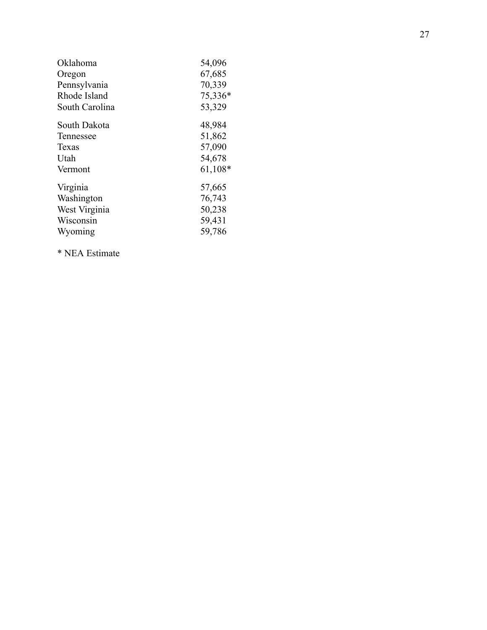| Oklahoma       | 54,096  |
|----------------|---------|
| Oregon         | 67,685  |
| Pennsylvania   | 70,339  |
| Rhode Island   | 75,336* |
| South Carolina | 53,329  |
| South Dakota   | 48,984  |
| Tennessee      | 51,862  |
| Texas          | 57,090  |
| Utah           | 54,678  |
| Vermont        | 61,108* |
| Virginia       | 57,665  |
| Washington     | 76,743  |
| West Virginia  | 50,238  |
| Wisconsin      | 59,431  |
| Wyoming        | 59,786  |
|                |         |

\* NEA Estimate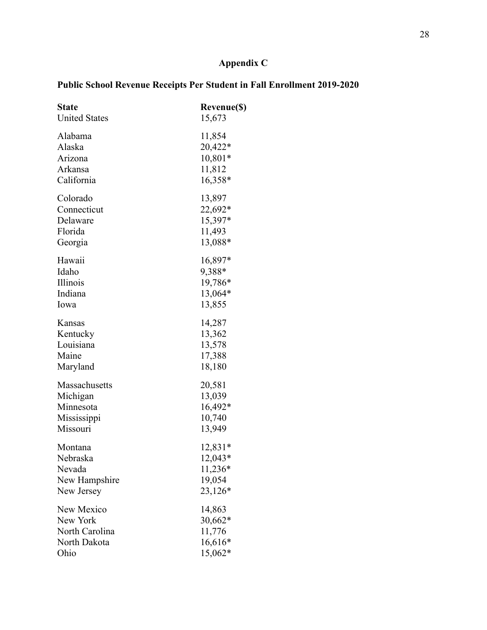## **Appendix C**

## **Public School Revenue Receipts Per Student in Fall Enrollment 2019-2020**

| <b>State</b>         | Revenue(\$) |
|----------------------|-------------|
| <b>United States</b> | 15,673      |
| Alabama              | 11,854      |
| Alaska               | 20,422*     |
| Arizona              | 10,801*     |
| Arkansa              | 11,812      |
| California           | 16,358*     |
| Colorado             | 13,897      |
| Connecticut          | 22,692*     |
| Delaware             | 15,397*     |
| Florida              | 11,493      |
| Georgia              | 13,088*     |
| Hawaii               | 16,897*     |
| Idaho                | 9,388*      |
| Illinois             | 19,786*     |
| Indiana              | 13,064*     |
| Iowa                 | 13,855      |
| Kansas               | 14,287      |
| Kentucky             | 13,362      |
| Louisiana            | 13,578      |
| Maine                | 17,388      |
| Maryland             | 18,180      |
| Massachusetts        | 20,581      |
| Michigan             | 13,039      |
| Minnesota            | 16,492*     |
| Mississippi          | 10,740      |
| Missouri             | 13,949      |
| Montana              | 12,831*     |
| Nebraska             | 12,043*     |
| Nevada               | 11,236*     |
| New Hampshire        | 19,054      |
| New Jersey           | 23,126*     |
| New Mexico           | 14,863      |
| New York             | 30,662*     |
| North Carolina       | 11,776      |
| North Dakota         | 16,616*     |
| Ohio                 | 15,062*     |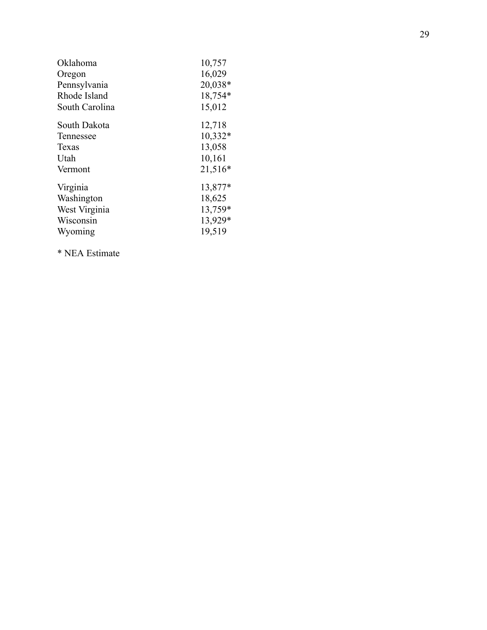| Oklahoma       | 10,757    |
|----------------|-----------|
| Oregon         | 16,029    |
| Pennsylvania   | 20,038*   |
| Rhode Island   | 18,754*   |
| South Carolina | 15,012    |
| South Dakota   | 12,718    |
| Tennessee      | $10,332*$ |
| Texas          | 13,058    |
| Utah           | 10,161    |
| Vermont        | $21,516*$ |
| Virginia       | 13,877*   |
| Washington     | 18,625    |
| West Virginia  | 13,759*   |
| Wisconsin      | 13,929*   |
| Wyoming        | 19,519    |
|                |           |

\* NEA Estimate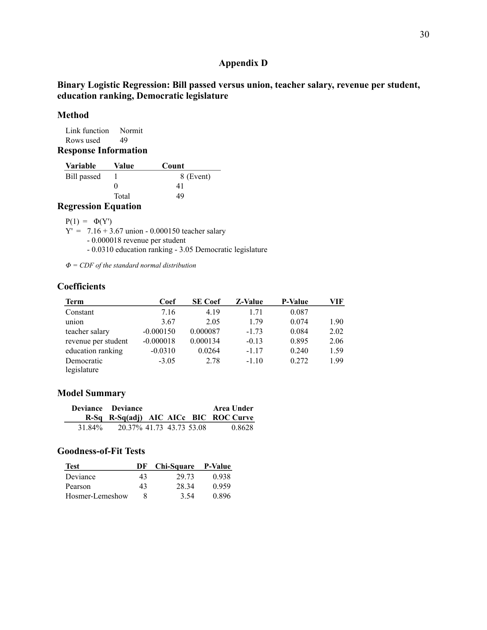## **Appendix D**

## **Binary Logistic Regression: Bill passed versus union, teacher salary, revenue per student, education ranking, Democratic legislature**

## **Method**

Link function Normit Rows used 49

**Response Information**

| <b>Variable</b> | Value | Count     |
|-----------------|-------|-----------|
| Bill passed     |       | 8 (Event) |
|                 | 0     | 41        |
|                 | Total | 49        |

## **Regression Equation**

 $P(1) = \Phi(Y')$ 

 $Y' = 7.16 + 3.67$  union - 0.000150 teacher salary

- 0.000018 revenue per student

- 0.0310 education ranking - 3.05 Democratic legislature

*Φ = CDF of the standard normal distribution*

## **Coefficients**

| <b>Term</b>         | Coef        | <b>SE</b> Coef | Z-Value | <b>P-Value</b> | VIF  |
|---------------------|-------------|----------------|---------|----------------|------|
| Constant            | 7.16        | 4.19           | 1.71    | 0.087          |      |
| union               | 3.67        | 2.05           | 1.79    | 0.074          | 1.90 |
| teacher salary      | $-0.000150$ | 0.000087       | $-1.73$ | 0.084          | 2.02 |
| revenue per student | $-0.000018$ | 0.000134       | $-0.13$ | 0.895          | 2.06 |
| education ranking   | $-0.0310$   | 0.0264         | $-1.17$ | 0.240          | 1.59 |
| Democratic          | $-3.05$     | 2.78           | $-1.10$ | 0.272          | 1.99 |
| legislature         |             |                |         |                |      |

## **Model Summary**

|        | Deviance Deviance        |  | Area Under                            |
|--------|--------------------------|--|---------------------------------------|
|        |                          |  | R-Sq R-Sq(adj) AIC AICc BIC ROC Curve |
| 31.84% | 20.37% 41.73 43.73 53.08 |  | 0.8628                                |

## **Goodness-of-Fit Tests**

| <b>Test</b>     | DF | Chi-Square P-Value |       |
|-----------------|----|--------------------|-------|
| Deviance        | 43 | 29.73              | 0.938 |
| Pearson         | 43 | 28.34              | 0.959 |
| Hosmer-Lemeshow | x  | 3.54               | 0.896 |